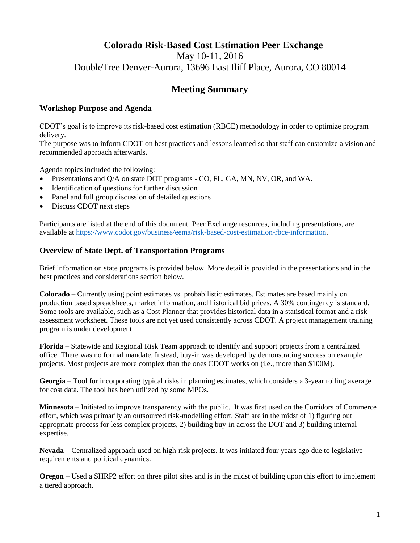# **Colorado Risk-Based Cost Estimation Peer Exchange** May 10-11, 2016 DoubleTree Denver-Aurora, 13696 East Iliff Place, Aurora, CO 80014

# **Meeting Summary**

# **Workshop Purpose and Agenda**

CDOT's goal is to improve its risk-based cost estimation (RBCE) methodology in order to optimize program delivery.

The purpose was to inform CDOT on best practices and lessons learned so that staff can customize a vision and recommended approach afterwards.

Agenda topics included the following:

- Presentations and Q/A on state DOT programs CO, FL, GA, MN, NV, OR, and WA.
- Identification of questions for further discussion
- Panel and full group discussion of detailed questions
- Discuss CDOT next steps

Participants are listed at the end of this document. Peer Exchange resources, including presentations, are available at [https://www.codot.gov/business/eema/risk-based-cost-estimation-rbce-information.](https://www.codot.gov/business/eema/risk-based-cost-estimation-rbce-information)

# **Overview of State Dept. of Transportation Programs**

Brief information on state programs is provided below. More detail is provided in the presentations and in the best practices and considerations section below.

**Colorado –** Currently using point estimates vs. probabilistic estimates. Estimates are based mainly on production based spreadsheets, market information, and historical bid prices. A 30% contingency is standard. Some tools are available, such as a Cost Planner that provides historical data in a statistical format and a risk assessment worksheet. These tools are not yet used consistently across CDOT. A project management training program is under development.

**Florida** – Statewide and Regional Risk Team approach to identify and support projects from a centralized office. There was no formal mandate. Instead, buy-in was developed by demonstrating success on example projects. Most projects are more complex than the ones CDOT works on (i.e., more than \$100M).

**Georgia** – Tool for incorporating typical risks in planning estimates, which considers a 3-year rolling average for cost data. The tool has been utilized by some MPOs.

**Minnesota** – Initiated to improve transparency with the public. It was first used on the Corridors of Commerce effort, which was primarily an outsourced risk-modelling effort. Staff are in the midst of 1) figuring out appropriate process for less complex projects, 2) building buy-in across the DOT and 3) building internal expertise.

**Nevada** – Centralized approach used on high-risk projects. It was initiated four years ago due to legislative requirements and political dynamics.

**Oregon** – Used a SHRP2 effort on three pilot sites and is in the midst of building upon this effort to implement a tiered approach.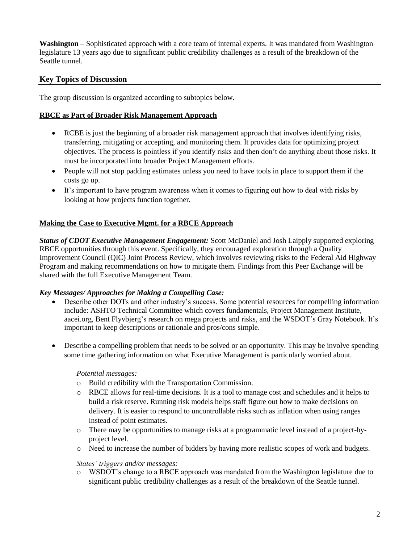**Washington** – Sophisticated approach with a core team of internal experts. It was mandated from Washington legislature 13 years ago due to significant public credibility challenges as a result of the breakdown of the Seattle tunnel.

### **Key Topics of Discussion**

The group discussion is organized according to subtopics below.

#### **RBCE as Part of Broader Risk Management Approach**

- RCBE is just the beginning of a broader risk management approach that involves identifying risks, transferring, mitigating or accepting, and monitoring them. It provides data for optimizing project objectives. The process is pointless if you identify risks and then don't do anything about those risks. It must be incorporated into broader Project Management efforts.
- People will not stop padding estimates unless you need to have tools in place to support them if the costs go up.
- It's important to have program awareness when it comes to figuring out how to deal with risks by looking at how projects function together.

#### **Making the Case to Executive Mgmt. for a RBCE Approach**

*Status of CDOT Executive Management Engagement:* Scott McDaniel and Josh Laipply supported exploring RBCE opportunities through this event. Specifically, they encouraged exploration through a Quality Improvement Council (QIC) Joint Process Review, which involves reviewing risks to the Federal Aid Highway Program and making recommendations on how to mitigate them. Findings from this Peer Exchange will be shared with the full Executive Management Team.

#### *Key Messages/ Approaches for Making a Compelling Case:*

- Describe other DOTs and other industry's success. Some potential resources for compelling information include: ASHTO Technical Committee which covers fundamentals, Project Management Institute, aacei.org, Bent Flyvbjerg's research on mega projects and risks, and the WSDOT's Gray Notebook. It's important to keep descriptions or rationale and pros/cons simple.
- Describe a compelling problem that needs to be solved or an opportunity. This may be involve spending some time gathering information on what Executive Management is particularly worried about.

#### *Potential messages:*

- o Build credibility with the Transportation Commission.
- o RBCE allows for real-time decisions. It is a tool to manage cost and schedules and it helps to build a risk reserve. Running risk models helps staff figure out how to make decisions on delivery. It is easier to respond to uncontrollable risks such as inflation when using ranges instead of point estimates.
- o There may be opportunities to manage risks at a programmatic level instead of a project-byproject level.
- o Need to increase the number of bidders by having more realistic scopes of work and budgets.

#### *States' triggers and/or messages:*

o WSDOT's change to a RBCE approach was mandated from the Washington legislature due to significant public credibility challenges as a result of the breakdown of the Seattle tunnel.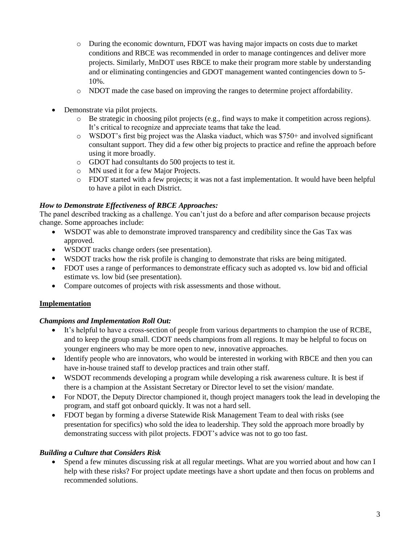- o During the economic downturn, FDOT was having major impacts on costs due to market conditions and RBCE was recommended in order to manage contingences and deliver more projects. Similarly, MnDOT uses RBCE to make their program more stable by understanding and or eliminating contingencies and GDOT management wanted contingencies down to 5- 10%.
- o NDOT made the case based on improving the ranges to determine project affordability.
- Demonstrate via pilot projects.
	- $\circ$  Be strategic in choosing pilot projects (e.g., find ways to make it competition across regions). It's critical to recognize and appreciate teams that take the lead.
	- $\circ$  WSDOT's first big project was the Alaska viaduct, which was \$750+ and involved significant consultant support. They did a few other big projects to practice and refine the approach before using it more broadly.
	- o GDOT had consultants do 500 projects to test it.
	- o MN used it for a few Major Projects.
	- o FDOT started with a few projects; it was not a fast implementation. It would have been helpful to have a pilot in each District.

#### *How to Demonstrate Effectiveness of RBCE Approaches:*

The panel described tracking as a challenge. You can't just do a before and after comparison because projects change. Some approaches include:

- WSDOT was able to demonstrate improved transparency and credibility since the Gas Tax was approved.
- WSDOT tracks change orders (see presentation).
- WSDOT tracks how the risk profile is changing to demonstrate that risks are being mitigated.
- FDOT uses a range of performances to demonstrate efficacy such as adopted vs. low bid and official estimate vs. low bid (see presentation).
- Compare outcomes of projects with risk assessments and those without.

### **Implementation**

### *Champions and Implementation Roll Out:*

- It's helpful to have a cross-section of people from various departments to champion the use of RCBE, and to keep the group small. CDOT needs champions from all regions. It may be helpful to focus on younger engineers who may be more open to new, innovative approaches.
- Identify people who are innovators, who would be interested in working with RBCE and then you can have in-house trained staff to develop practices and train other staff.
- WSDOT recommends developing a program while developing a risk awareness culture. It is best if there is a champion at the Assistant Secretary or Director level to set the vision/ mandate.
- For NDOT, the Deputy Director championed it, though project managers took the lead in developing the program, and staff got onboard quickly. It was not a hard sell.
- FDOT began by forming a diverse Statewide Risk Management Team to deal with risks (see presentation for specifics) who sold the idea to leadership. They sold the approach more broadly by demonstrating success with pilot projects. FDOT's advice was not to go too fast.

### *Building a Culture that Considers Risk*

 Spend a few minutes discussing risk at all regular meetings. What are you worried about and how can I help with these risks? For project update meetings have a short update and then focus on problems and recommended solutions.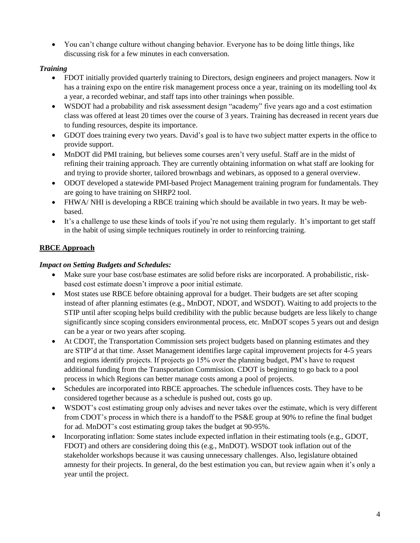You can't change culture without changing behavior. Everyone has to be doing little things, like discussing risk for a few minutes in each conversation.

### *Training*

- FDOT initially provided quarterly training to Directors, design engineers and project managers. Now it has a training expo on the entire risk management process once a year, training on its modelling tool 4x a year, a recorded webinar, and staff taps into other trainings when possible.
- WSDOT had a probability and risk assessment design "academy" five years ago and a cost estimation class was offered at least 20 times over the course of 3 years. Training has decreased in recent years due to funding resources, despite its importance.
- GDOT does training every two years. David's goal is to have two subject matter experts in the office to provide support.
- MnDOT did PMI training, but believes some courses aren't very useful. Staff are in the midst of refining their training approach. They are currently obtaining information on what staff are looking for and trying to provide shorter, tailored brownbags and webinars, as opposed to a general overview.
- ODOT developed a statewide PMI-based Project Management training program for fundamentals. They are going to have training on SHRP2 tool.
- FHWA/ NHI is developing a RBCE training which should be available in two years. It may be webbased.
- It's a challenge to use these kinds of tools if you're not using them regularly. It's important to get staff in the habit of using simple techniques routinely in order to reinforcing training.

# **RBCE Approach**

### *Impact on Setting Budgets and Schedules:*

- Make sure your base cost/base estimates are solid before risks are incorporated. A probabilistic, riskbased cost estimate doesn't improve a poor initial estimate.
- Most states use RBCE before obtaining approval for a budget. Their budgets are set after scoping instead of after planning estimates (e.g., MnDOT, NDOT, and WSDOT). Waiting to add projects to the STIP until after scoping helps build credibility with the public because budgets are less likely to change significantly since scoping considers environmental process, etc. MnDOT scopes 5 years out and design can be a year or two years after scoping.
- At CDOT, the Transportation Commission sets project budgets based on planning estimates and they are STIP'd at that time. Asset Management identifies large capital improvement projects for 4-5 years and regions identify projects. If projects go 15% over the planning budget, PM's have to request additional funding from the Transportation Commission. CDOT is beginning to go back to a pool process in which Regions can better manage costs among a pool of projects.
- Schedules are incorporated into RBCE approaches. The schedule influences costs. They have to be considered together because as a schedule is pushed out, costs go up.
- WSDOT's cost estimating group only advises and never takes over the estimate, which is very different from CDOT's process in which there is a handoff to the PS&E group at 90% to refine the final budget for ad. MnDOT's cost estimating group takes the budget at 90-95%.
- Incorporating inflation: Some states include expected inflation in their estimating tools (e.g., GDOT, FDOT) and others are considering doing this (e.g., MnDOT). WSDOT took inflation out of the stakeholder workshops because it was causing unnecessary challenges. Also, legislature obtained amnesty for their projects. In general, do the best estimation you can, but review again when it's only a year until the project.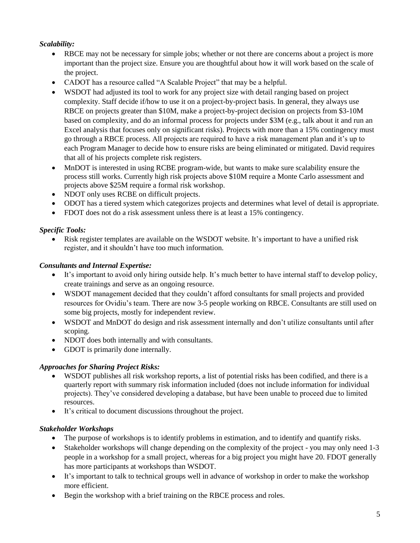# *Scalability:*

- RBCE may not be necessary for simple jobs; whether or not there are concerns about a project is more important than the project size. Ensure you are thoughtful about how it will work based on the scale of the project.
- CADOT has a resource called "A Scalable Project" that may be a helpful.
- WSDOT had adjusted its tool to work for any project size with detail ranging based on project complexity. Staff decide if/how to use it on a project-by-project basis. In general, they always use RBCE on projects greater than \$10M, make a project-by-project decision on projects from \$3-10M based on complexity, and do an informal process for projects under \$3M (e.g., talk about it and run an Excel analysis that focuses only on significant risks). Projects with more than a 15% contingency must go through a RBCE process. All projects are required to have a risk management plan and it's up to each Program Manager to decide how to ensure risks are being eliminated or mitigated. David requires that all of his projects complete risk registers.
- MnDOT is interested in using RCBE program-wide, but wants to make sure scalability ensure the process still works. Currently high risk projects above \$10M require a Monte Carlo assessment and projects above \$25M require a formal risk workshop.
- NDOT only uses RCBE on difficult projects.
- ODOT has a tiered system which categorizes projects and determines what level of detail is appropriate.
- FDOT does not do a risk assessment unless there is at least a 15% contingency.

### *Specific Tools:*

 Risk register templates are available on the WSDOT website. It's important to have a unified risk register, and it shouldn't have too much information.

### *Consultants and Internal Expertise:*

- It's important to avoid only hiring outside help. It's much better to have internal staff to develop policy, create trainings and serve as an ongoing resource.
- WSDOT management decided that they couldn't afford consultants for small projects and provided resources for Ovidiu's team. There are now 3-5 people working on RBCE. Consultants are still used on some big projects, mostly for independent review.
- WSDOT and MnDOT do design and risk assessment internally and don't utilize consultants until after scoping.
- NDOT does both internally and with consultants.
- GDOT is primarily done internally.

### *Approaches for Sharing Project Risks:*

- WSDOT publishes all risk workshop reports, a list of potential risks has been codified, and there is a quarterly report with summary risk information included (does not include information for individual projects). They've considered developing a database, but have been unable to proceed due to limited resources.
- It's critical to document discussions throughout the project.

# *Stakeholder Workshops*

- The purpose of workshops is to identify problems in estimation, and to identify and quantify risks.
- Stakeholder workshops will change depending on the complexity of the project you may only need 1-3 people in a workshop for a small project, whereas for a big project you might have 20. FDOT generally has more participants at workshops than WSDOT.
- It's important to talk to technical groups well in advance of workshop in order to make the workshop more efficient.
- Begin the workshop with a brief training on the RBCE process and roles.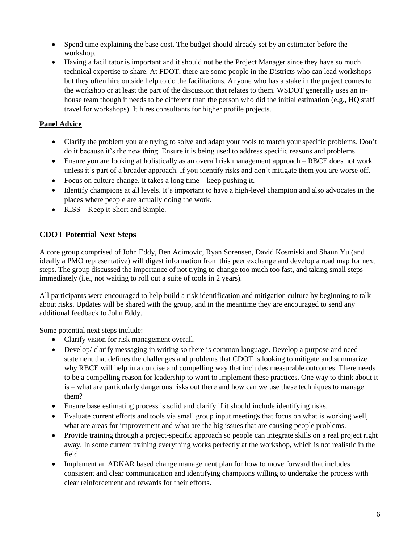- Spend time explaining the base cost. The budget should already set by an estimator before the workshop.
- Having a facilitator is important and it should not be the Project Manager since they have so much technical expertise to share. At FDOT, there are some people in the Districts who can lead workshops but they often hire outside help to do the facilitations. Anyone who has a stake in the project comes to the workshop or at least the part of the discussion that relates to them. WSDOT generally uses an inhouse team though it needs to be different than the person who did the initial estimation (e.g., HQ staff travel for workshops). It hires consultants for higher profile projects.

# **Panel Advice**

- Clarify the problem you are trying to solve and adapt your tools to match your specific problems. Don't do it because it's the new thing. Ensure it is being used to address specific reasons and problems.
- Ensure you are looking at holistically as an overall risk management approach RBCE does not work unless it's part of a broader approach. If you identify risks and don't mitigate them you are worse off.
- Focus on culture change. It takes a long time keep pushing it.
- Identify champions at all levels. It's important to have a high-level champion and also advocates in the places where people are actually doing the work.
- KISS Keep it Short and Simple.

# **CDOT Potential Next Steps**

A core group comprised of John Eddy, Ben Acimovic, Ryan Sorensen, David Kosmiski and Shaun Yu (and ideally a PMO representative) will digest information from this peer exchange and develop a road map for next steps. The group discussed the importance of not trying to change too much too fast, and taking small steps immediately (i.e., not waiting to roll out a suite of tools in 2 years).

All participants were encouraged to help build a risk identification and mitigation culture by beginning to talk about risks. Updates will be shared with the group, and in the meantime they are encouraged to send any additional feedback to John Eddy.

Some potential next steps include:

- Clarify vision for risk management overall.
- Develop/ clarify messaging in writing so there is common language. Develop a purpose and need statement that defines the challenges and problems that CDOT is looking to mitigate and summarize why RBCE will help in a concise and compelling way that includes measurable outcomes. There needs to be a compelling reason for leadership to want to implement these practices. One way to think about it is – what are particularly dangerous risks out there and how can we use these techniques to manage them?
- Ensure base estimating process is solid and clarify if it should include identifying risks.
- Evaluate current efforts and tools via small group input meetings that focus on what is working well, what are areas for improvement and what are the big issues that are causing people problems.
- Provide training through a project-specific approach so people can integrate skills on a real project right away. In some current training everything works perfectly at the workshop, which is not realistic in the field.
- Implement an ADKAR based change management plan for how to move forward that includes consistent and clear communication and identifying champions willing to undertake the process with clear reinforcement and rewards for their efforts.